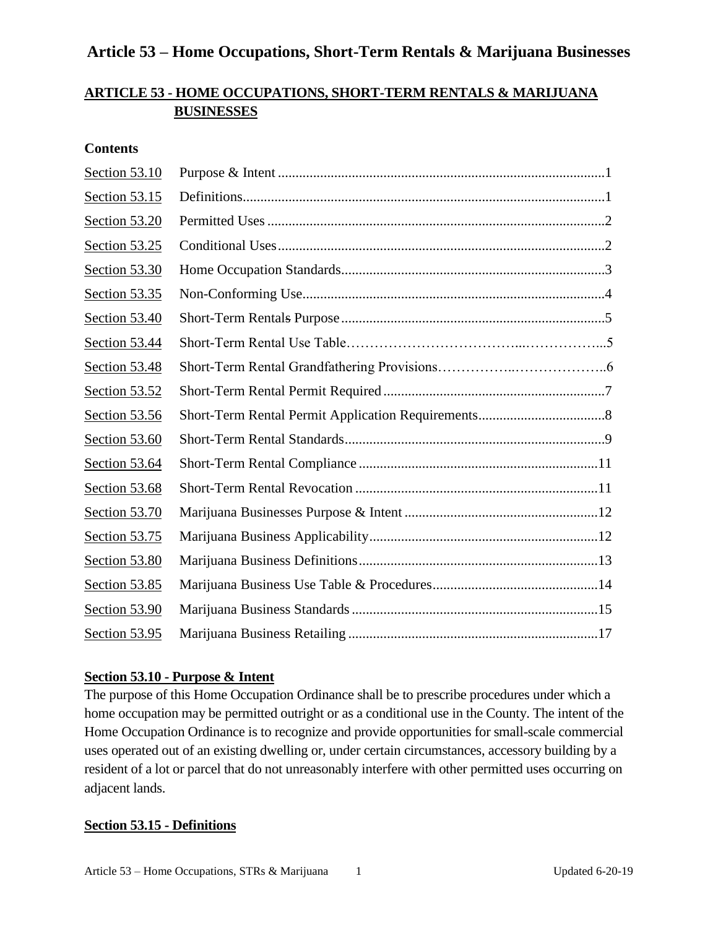### **ARTICLE 53 - HOME OCCUPATIONS, SHORT-TERM RENTALS & MARIJUANA BUSINESSES**

#### **Contents**

| Section 53.10 |  |
|---------------|--|
| Section 53.15 |  |
| Section 53.20 |  |
| Section 53.25 |  |
| Section 53.30 |  |
| Section 53.35 |  |
| Section 53.40 |  |
| Section 53.44 |  |
| Section 53.48 |  |
| Section 53.52 |  |
| Section 53.56 |  |
| Section 53.60 |  |
| Section 53.64 |  |
| Section 53.68 |  |
| Section 53.70 |  |
| Section 53.75 |  |
| Section 53.80 |  |
| Section 53.85 |  |
| Section 53.90 |  |
| Section 53.95 |  |

#### **Section 53.10 - Purpose & Intent**

The purpose of this Home Occupation Ordinance shall be to prescribe procedures under which a home occupation may be permitted outright or as a conditional use in the County. The intent of the Home Occupation Ordinance is to recognize and provide opportunities for small-scale commercial uses operated out of an existing dwelling or, under certain circumstances, accessory building by a resident of a lot or parcel that do not unreasonably interfere with other permitted uses occurring on adjacent lands.

#### **Section 53.15 - Definitions**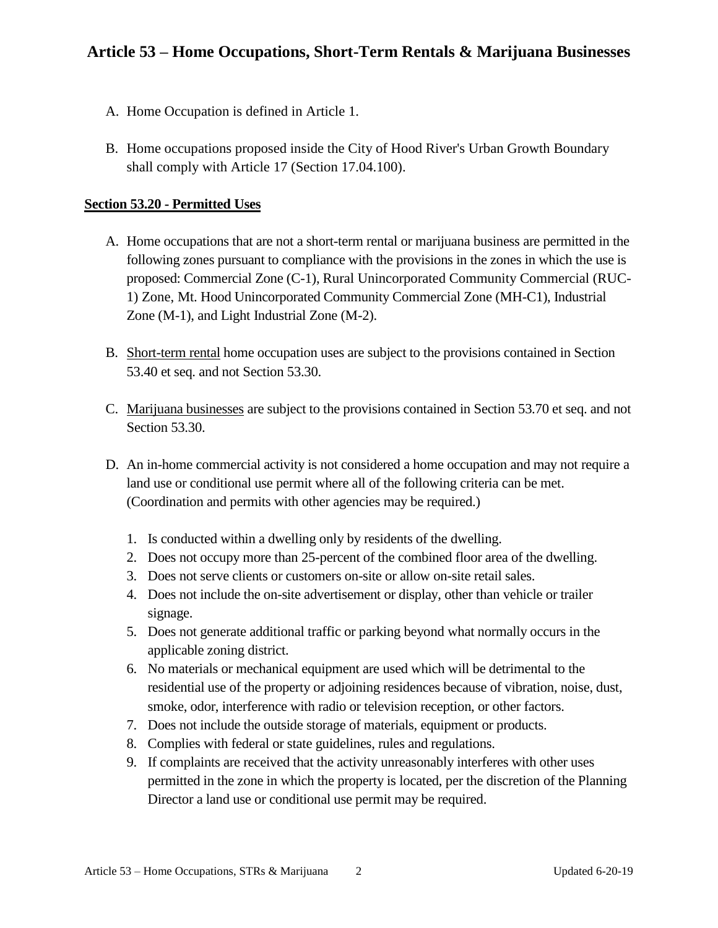- A. Home Occupation is defined in Article 1.
- B. Home occupations proposed inside the City of Hood River's Urban Growth Boundary shall comply with Article 17 (Section 17.04.100).

#### **Section 53.20 - Permitted Uses**

- A. Home occupations that are not a short-term rental or marijuana business are permitted in the following zones pursuant to compliance with the provisions in the zones in which the use is proposed: Commercial Zone (C-1), Rural Unincorporated Community Commercial (RUC-1) Zone, Mt. Hood Unincorporated Community Commercial Zone (MH-C1), Industrial Zone (M-1), and Light Industrial Zone (M-2).
- B. Short-term rental home occupation uses are subject to the provisions contained in Section 53.40 et seq. and not Section 53.30.
- C. Marijuana businesses are subject to the provisions contained in Section 53.70 et seq. and not Section 53.30.
- D. An in-home commercial activity is not considered a home occupation and may not require a land use or conditional use permit where all of the following criteria can be met. (Coordination and permits with other agencies may be required.)
	- 1. Is conducted within a dwelling only by residents of the dwelling.
	- 2. Does not occupy more than 25-percent of the combined floor area of the dwelling.
	- 3. Does not serve clients or customers on-site or allow on-site retail sales.
	- 4. Does not include the on-site advertisement or display, other than vehicle or trailer signage.
	- 5. Does not generate additional traffic or parking beyond what normally occurs in the applicable zoning district.
	- 6. No materials or mechanical equipment are used which will be detrimental to the residential use of the property or adjoining residences because of vibration, noise, dust, smoke, odor, interference with radio or television reception, or other factors.
	- 7. Does not include the outside storage of materials, equipment or products.
	- 8. Complies with federal or state guidelines, rules and regulations.
	- 9. If complaints are received that the activity unreasonably interferes with other uses permitted in the zone in which the property is located, per the discretion of the Planning Director a land use or conditional use permit may be required.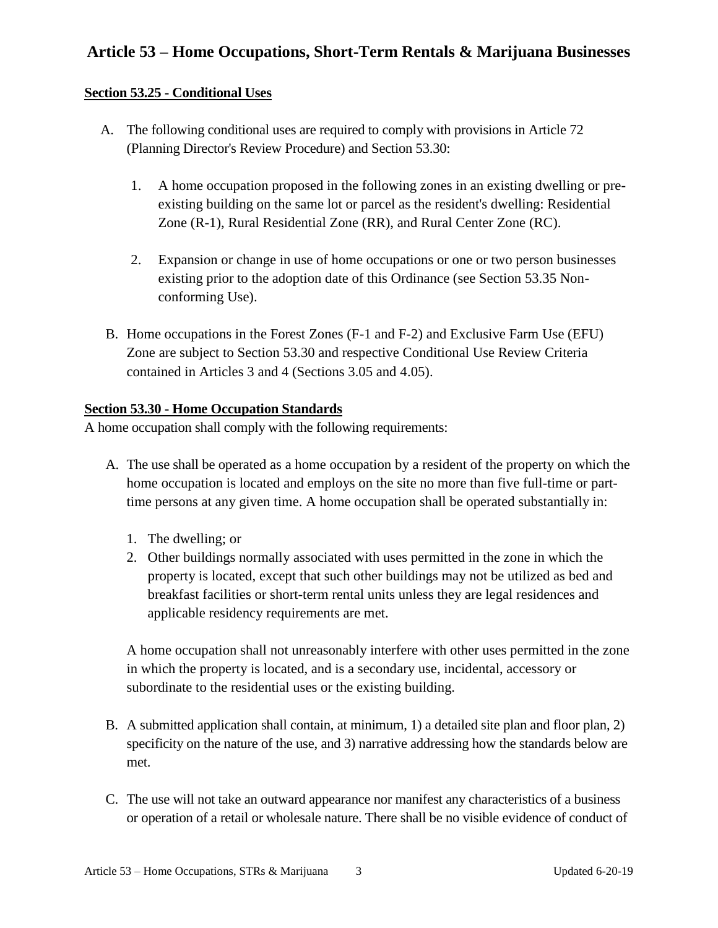#### **Section 53.25 - Conditional Uses**

- A. The following conditional uses are required to comply with provisions in Article 72 (Planning Director's Review Procedure) and Section 53.30:
	- 1. A home occupation proposed in the following zones in an existing dwelling or preexisting building on the same lot or parcel as the resident's dwelling: Residential Zone (R-1), Rural Residential Zone (RR), and Rural Center Zone (RC).
	- 2. Expansion or change in use of home occupations or one or two person businesses existing prior to the adoption date of this Ordinance (see Section 53.35 Nonconforming Use).
- B. Home occupations in the Forest Zones (F-1 and F-2) and Exclusive Farm Use (EFU) Zone are subject to Section 53.30 and respective Conditional Use Review Criteria contained in Articles 3 and 4 (Sections 3.05 and 4.05).

#### **Section 53.30 - Home Occupation Standards**

A home occupation shall comply with the following requirements:

- A. The use shall be operated as a home occupation by a resident of the property on which the home occupation is located and employs on the site no more than five full-time or parttime persons at any given time. A home occupation shall be operated substantially in:
	- 1. The dwelling; or
	- 2. Other buildings normally associated with uses permitted in the zone in which the property is located, except that such other buildings may not be utilized as bed and breakfast facilities or short-term rental units unless they are legal residences and applicable residency requirements are met.

A home occupation shall not unreasonably interfere with other uses permitted in the zone in which the property is located, and is a secondary use, incidental, accessory or subordinate to the residential uses or the existing building.

- B. A submitted application shall contain, at minimum, 1) a detailed site plan and floor plan, 2) specificity on the nature of the use, and 3) narrative addressing how the standards below are met.
- C. The use will not take an outward appearance nor manifest any characteristics of a business or operation of a retail or wholesale nature. There shall be no visible evidence of conduct of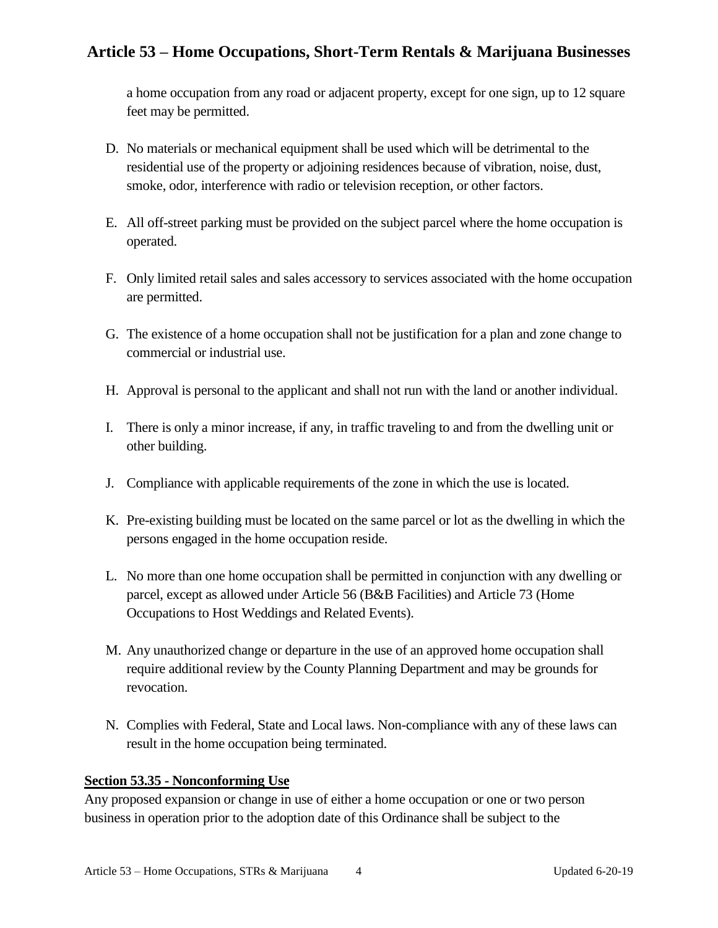a home occupation from any road or adjacent property, except for one sign, up to 12 square feet may be permitted.

- D. No materials or mechanical equipment shall be used which will be detrimental to the residential use of the property or adjoining residences because of vibration, noise, dust, smoke, odor, interference with radio or television reception, or other factors.
- E. All off-street parking must be provided on the subject parcel where the home occupation is operated.
- F. Only limited retail sales and sales accessory to services associated with the home occupation are permitted.
- G. The existence of a home occupation shall not be justification for a plan and zone change to commercial or industrial use.
- H. Approval is personal to the applicant and shall not run with the land or another individual.
- I. There is only a minor increase, if any, in traffic traveling to and from the dwelling unit or other building.
- J. Compliance with applicable requirements of the zone in which the use is located.
- K. Pre-existing building must be located on the same parcel or lot as the dwelling in which the persons engaged in the home occupation reside.
- L. No more than one home occupation shall be permitted in conjunction with any dwelling or parcel, except as allowed under Article 56 (B&B Facilities) and Article 73 (Home Occupations to Host Weddings and Related Events).
- M. Any unauthorized change or departure in the use of an approved home occupation shall require additional review by the County Planning Department and may be grounds for revocation.
- N. Complies with Federal, State and Local laws. Non-compliance with any of these laws can result in the home occupation being terminated.

### **Section 53.35 - Nonconforming Use**

Any proposed expansion or change in use of either a home occupation or one or two person business in operation prior to the adoption date of this Ordinance shall be subject to the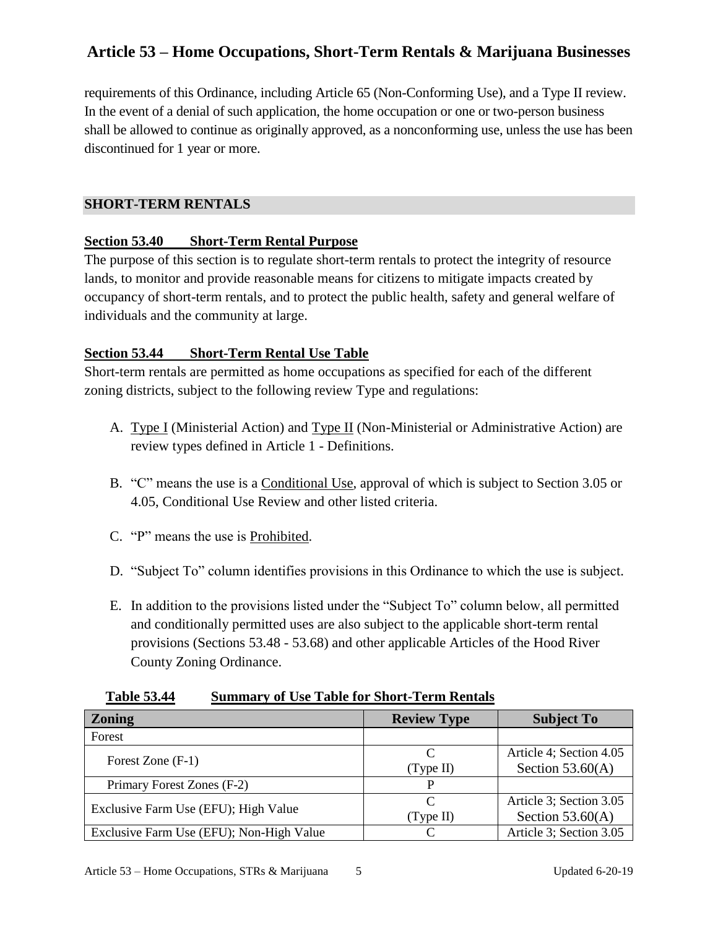requirements of this Ordinance, including Article 65 (Non-Conforming Use), and a Type II review. In the event of a denial of such application, the home occupation or one or two-person business shall be allowed to continue as originally approved, as a nonconforming use, unless the use has been discontinued for 1 year or more.

#### **SHORT-TERM RENTALS**

#### **Section 53.40 Short-Term Rental Purpose**

The purpose of this section is to regulate short-term rentals to protect the integrity of resource lands, to monitor and provide reasonable means for citizens to mitigate impacts created by occupancy of short-term rentals, and to protect the public health, safety and general welfare of individuals and the community at large.

#### **Section 53.44 Short-Term Rental Use Table**

Short-term rentals are permitted as home occupations as specified for each of the different zoning districts, subject to the following review Type and regulations:

- A. Type I (Ministerial Action) and Type II (Non-Ministerial or Administrative Action) are review types defined in Article 1 - Definitions.
- B. "C" means the use is a Conditional Use, approval of which is subject to Section 3.05 or 4.05, Conditional Use Review and other listed criteria.
- C. "P" means the use is Prohibited.
- D. "Subject To" column identifies provisions in this Ordinance to which the use is subject.
- E. In addition to the provisions listed under the "Subject To" column below, all permitted and conditionally permitted uses are also subject to the applicable short-term rental provisions (Sections 53.48 - 53.68) and other applicable Articles of the Hood River County Zoning Ordinance.

|  | <b>Table 53.44</b> |  |  |  | <b>Summary of Use Table for Short-Term Rentals</b> |  |
|--|--------------------|--|--|--|----------------------------------------------------|--|
|--|--------------------|--|--|--|----------------------------------------------------|--|

| <b>Zoning</b>                            | <b>Review Type</b> | <b>Subject To</b>       |
|------------------------------------------|--------------------|-------------------------|
| Forest                                   |                    |                         |
|                                          |                    | Article 4; Section 4.05 |
| Forest Zone (F-1)                        | (Type II)          | Section $53.60(A)$      |
| Primary Forest Zones (F-2)               |                    |                         |
|                                          |                    | Article 3; Section 3.05 |
| Exclusive Farm Use (EFU); High Value     | (Type II)          | Section $53.60(A)$      |
| Exclusive Farm Use (EFU); Non-High Value |                    | Article 3; Section 3.05 |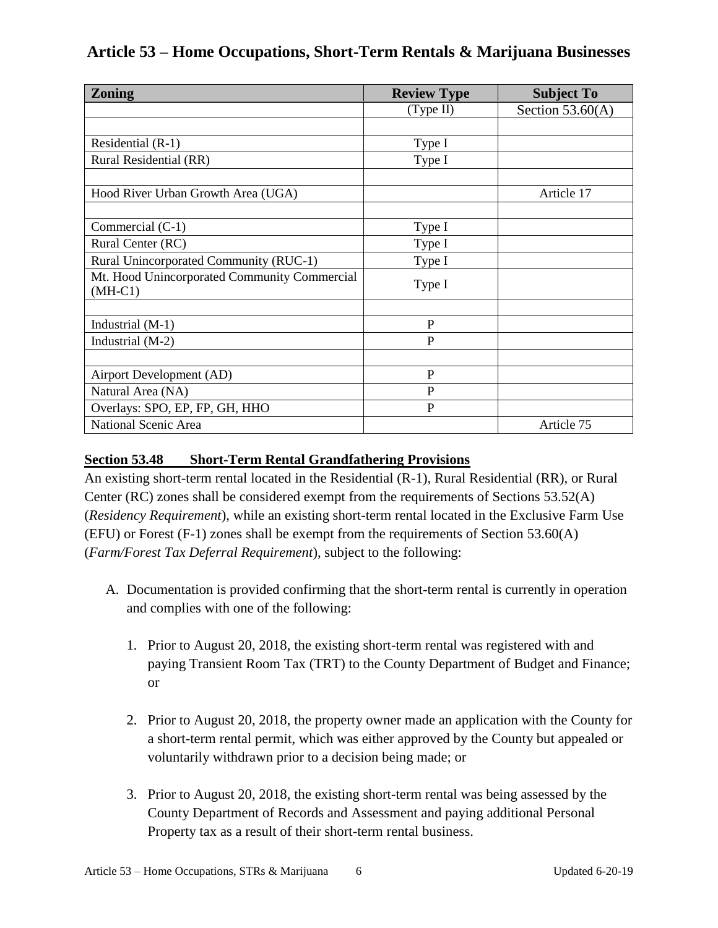| <b>Zoning</b>                                | <b>Review Type</b> | <b>Subject To</b>  |  |
|----------------------------------------------|--------------------|--------------------|--|
|                                              | (Type II)          | Section $53.60(A)$ |  |
|                                              |                    |                    |  |
| Residential (R-1)                            | Type I             |                    |  |
| Rural Residential (RR)                       | Type I             |                    |  |
|                                              |                    |                    |  |
| Hood River Urban Growth Area (UGA)           |                    | Article 17         |  |
|                                              |                    |                    |  |
| Commercial (C-1)                             | Type I             |                    |  |
| Rural Center (RC)                            | Type I             |                    |  |
| Rural Unincorporated Community (RUC-1)       | Type I             |                    |  |
| Mt. Hood Unincorporated Community Commercial | Type I             |                    |  |
| $(MH-C1)$                                    |                    |                    |  |
|                                              |                    |                    |  |
| Industrial (M-1)                             | $\mathbf{P}$       |                    |  |
| Industrial (M-2)                             | P                  |                    |  |
|                                              |                    |                    |  |
| Airport Development (AD)                     | P                  |                    |  |
| Natural Area (NA)                            | $\mathbf{P}$       |                    |  |
| Overlays: SPO, EP, FP, GH, HHO               | $\mathbf{P}$       |                    |  |
| National Scenic Area                         |                    | Article 75         |  |

### **Section 53.48 Short-Term Rental Grandfathering Provisions**

An existing short-term rental located in the Residential (R-1), Rural Residential (RR), or Rural Center (RC) zones shall be considered exempt from the requirements of Sections 53.52(A) (*Residency Requirement*), while an existing short-term rental located in the Exclusive Farm Use (EFU) or Forest (F-1) zones shall be exempt from the requirements of Section 53.60(A) (*Farm/Forest Tax Deferral Requirement*), subject to the following:

- A. Documentation is provided confirming that the short-term rental is currently in operation and complies with one of the following:
	- 1. Prior to August 20, 2018, the existing short-term rental was registered with and paying Transient Room Tax (TRT) to the County Department of Budget and Finance; or
	- 2. Prior to August 20, 2018, the property owner made an application with the County for a short-term rental permit, which was either approved by the County but appealed or voluntarily withdrawn prior to a decision being made; or
	- 3. Prior to August 20, 2018, the existing short-term rental was being assessed by the County Department of Records and Assessment and paying additional Personal Property tax as a result of their short-term rental business.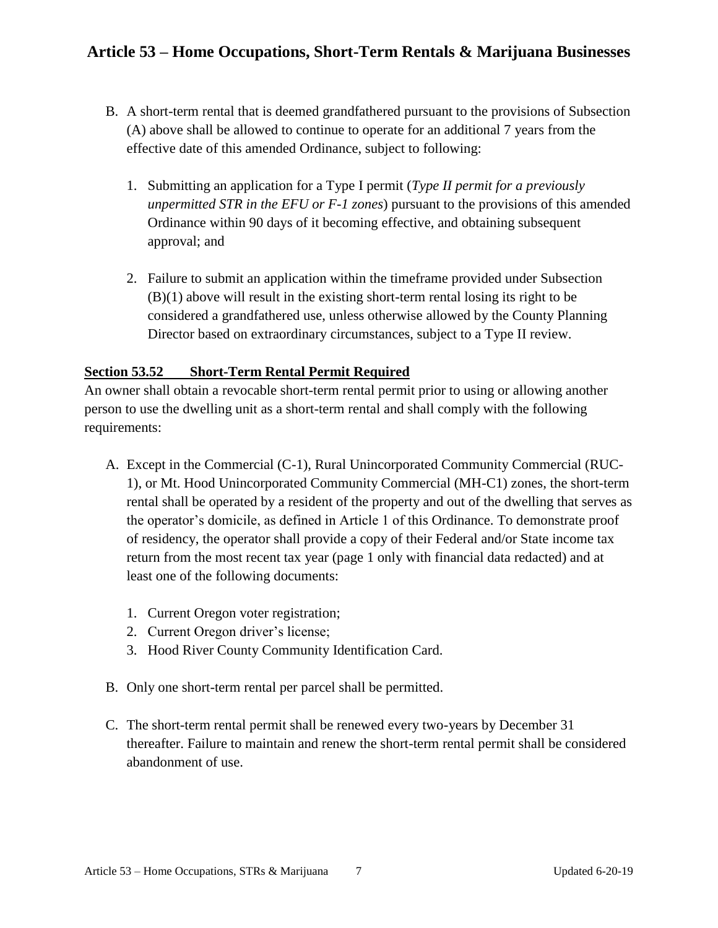- B. A short-term rental that is deemed grandfathered pursuant to the provisions of Subsection (A) above shall be allowed to continue to operate for an additional 7 years from the effective date of this amended Ordinance, subject to following:
	- 1. Submitting an application for a Type I permit (*Type II permit for a previously unpermitted STR in the EFU or F-1 zones*) pursuant to the provisions of this amended Ordinance within 90 days of it becoming effective, and obtaining subsequent approval; and
	- 2. Failure to submit an application within the timeframe provided under Subsection (B)(1) above will result in the existing short-term rental losing its right to be considered a grandfathered use, unless otherwise allowed by the County Planning Director based on extraordinary circumstances, subject to a Type II review.

### **Section 53.52 Short-Term Rental Permit Required**

An owner shall obtain a revocable short-term rental permit prior to using or allowing another person to use the dwelling unit as a short-term rental and shall comply with the following requirements:

- A. Except in the Commercial (C-1), Rural Unincorporated Community Commercial (RUC-1), or Mt. Hood Unincorporated Community Commercial (MH-C1) zones, the short-term rental shall be operated by a resident of the property and out of the dwelling that serves as the operator's domicile, as defined in Article 1 of this Ordinance. To demonstrate proof of residency, the operator shall provide a copy of their Federal and/or State income tax return from the most recent tax year (page 1 only with financial data redacted) and at least one of the following documents:
	- 1. Current Oregon voter registration;
	- 2. Current Oregon driver's license;
	- 3. Hood River County Community Identification Card.
- B. Only one short-term rental per parcel shall be permitted.
- C. The short-term rental permit shall be renewed every two-years by December 31 thereafter. Failure to maintain and renew the short-term rental permit shall be considered abandonment of use.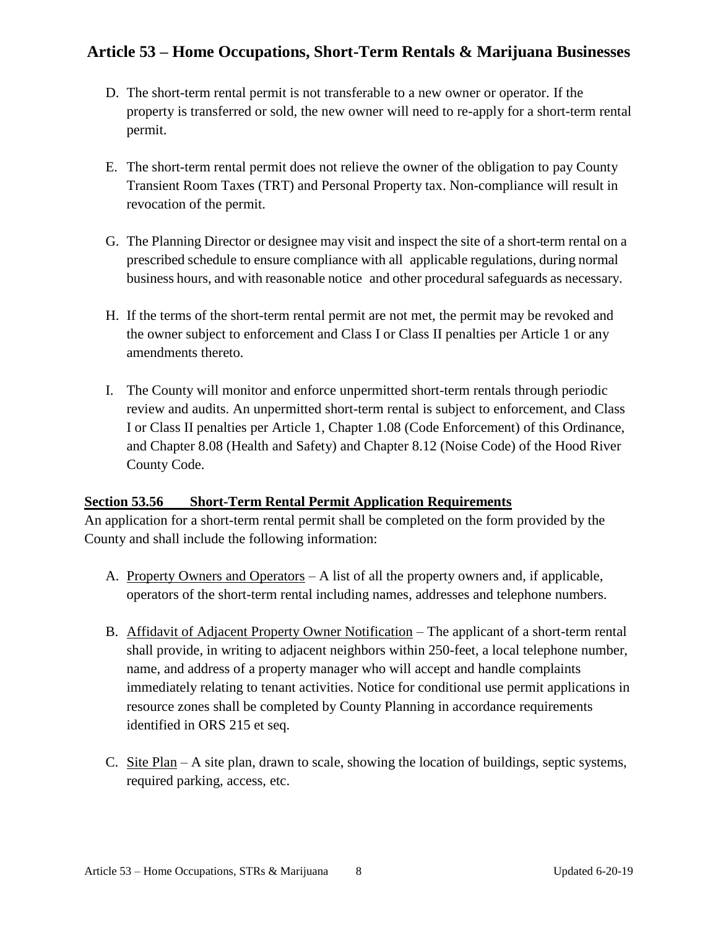- D. The short-term rental permit is not transferable to a new owner or operator. If the property is transferred or sold, the new owner will need to re-apply for a short-term rental permit.
- E. The short-term rental permit does not relieve the owner of the obligation to pay County Transient Room Taxes (TRT) and Personal Property tax. Non-compliance will result in revocation of the permit.
- G. The Planning Director or designee may visit and inspect the site of a short-term rental on a prescribed schedule to ensure compliance with all applicable regulations, during normal business hours, and with reasonable notice and other procedural safeguards as necessary.
- H. If the terms of the short-term rental permit are not met, the permit may be revoked and the owner subject to enforcement and Class I or Class II penalties per Article 1 or any amendments thereto.
- I. The County will monitor and enforce unpermitted short-term rentals through periodic review and audits. An unpermitted short-term rental is subject to enforcement, and Class I or Class II penalties per Article 1, Chapter 1.08 (Code Enforcement) of this Ordinance, and Chapter 8.08 (Health and Safety) and Chapter 8.12 (Noise Code) of the Hood River County Code.

#### **Section 53.56 Short-Term Rental Permit Application Requirements**

An application for a short-term rental permit shall be completed on the form provided by the County and shall include the following information:

- A. Property Owners and Operators A list of all the property owners and, if applicable, operators of the short-term rental including names, addresses and telephone numbers.
- B. Affidavit of Adjacent Property Owner Notification The applicant of a short-term rental shall provide, in writing to adjacent neighbors within 250-feet, a local telephone number, name, and address of a property manager who will accept and handle complaints immediately relating to tenant activities. Notice for conditional use permit applications in resource zones shall be completed by County Planning in accordance requirements identified in ORS 215 et seq.
- C. Site Plan A site plan, drawn to scale, showing the location of buildings, septic systems, required parking, access, etc.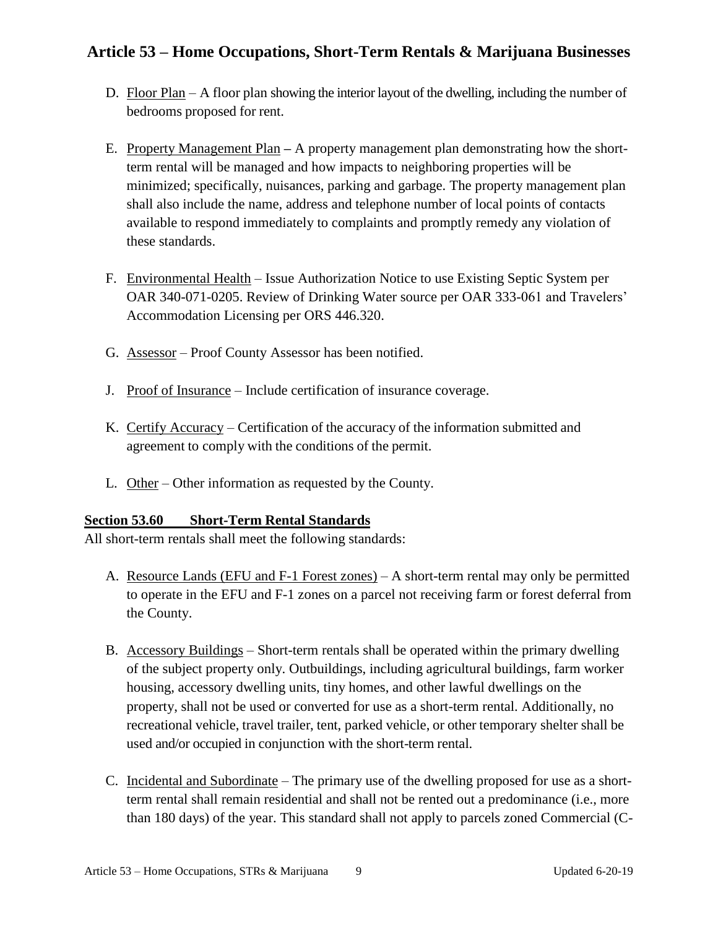- D. Floor Plan A floor plan showing the interior layout of the dwelling, including the number of bedrooms proposed for rent.
- E. Property Management Plan **–** A property management plan demonstrating how the shortterm rental will be managed and how impacts to neighboring properties will be minimized; specifically, nuisances, parking and garbage. The property management plan shall also include the name, address and telephone number of local points of contacts available to respond immediately to complaints and promptly remedy any violation of these standards.
- F. Environmental Health Issue Authorization Notice to use Existing Septic System per OAR 340-071-0205. Review of Drinking Water source per OAR 333-061 and Travelers' Accommodation Licensing per ORS 446.320.
- G. Assessor Proof County Assessor has been notified.
- J. Proof of Insurance Include certification of insurance coverage.
- K. Certify Accuracy Certification of the accuracy of the information submitted and agreement to comply with the conditions of the permit.
- L. Other Other information as requested by the County.

### **Section 53.60 Short-Term Rental Standards**

All short-term rentals shall meet the following standards:

- A. Resource Lands (EFU and F-1 Forest zones) A short-term rental may only be permitted to operate in the EFU and F-1 zones on a parcel not receiving farm or forest deferral from the County.
- B. Accessory Buildings Short-term rentals shall be operated within the primary dwelling of the subject property only. Outbuildings, including agricultural buildings, farm worker housing, accessory dwelling units, tiny homes, and other lawful dwellings on the property, shall not be used or converted for use as a short-term rental. Additionally, no recreational vehicle, travel trailer, tent, parked vehicle, or other temporary shelter shall be used and/or occupied in conjunction with the short-term rental.
- C. Incidental and Subordinate The primary use of the dwelling proposed for use as a shortterm rental shall remain residential and shall not be rented out a predominance (i.e., more than 180 days) of the year. This standard shall not apply to parcels zoned Commercial (C-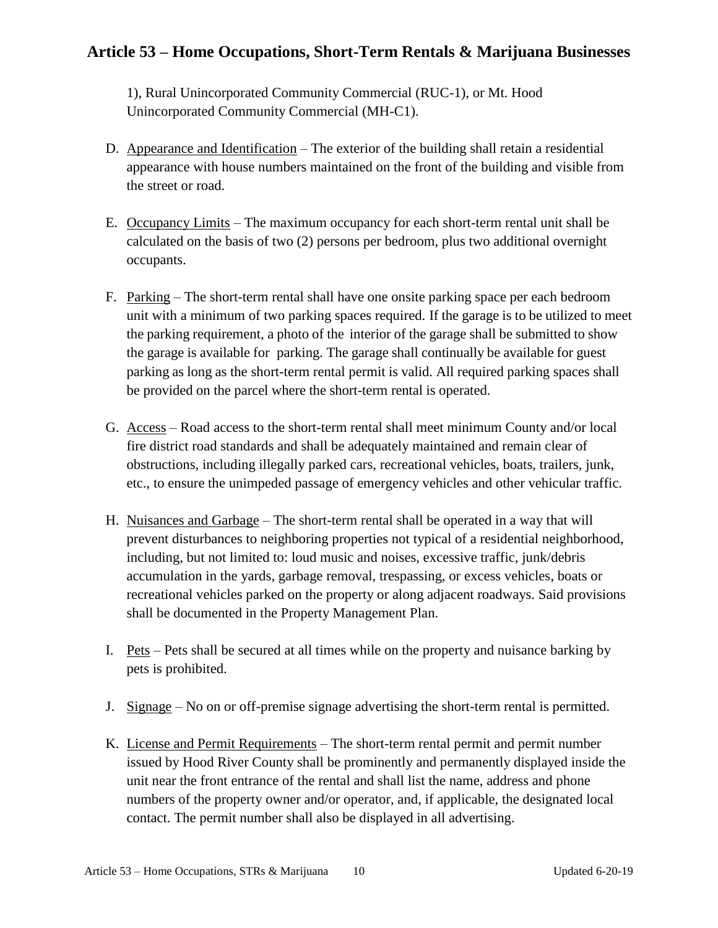1), Rural Unincorporated Community Commercial (RUC-1), or Mt. Hood Unincorporated Community Commercial (MH-C1).

- D. Appearance and Identification The exterior of the building shall retain a residential appearance with house numbers maintained on the front of the building and visible from the street or road.
- E. Occupancy Limits The maximum occupancy for each short-term rental unit shall be calculated on the basis of two (2) persons per bedroom, plus two additional overnight occupants.
- F. Parking The short-term rental shall have one onsite parking space per each bedroom unit with a minimum of two parking spaces required. If the garage is to be utilized to meet the parking requirement, a photo of the interior of the garage shall be submitted to show the garage is available for parking. The garage shall continually be available for guest parking as long as the short-term rental permit is valid. All required parking spaces shall be provided on the parcel where the short-term rental is operated.
- G. Access Road access to the short-term rental shall meet minimum County and/or local fire district road standards and shall be adequately maintained and remain clear of obstructions, including illegally parked cars, recreational vehicles, boats, trailers, junk, etc., to ensure the unimpeded passage of emergency vehicles and other vehicular traffic.
- H. Nuisances and Garbage The short-term rental shall be operated in a way that will prevent disturbances to neighboring properties not typical of a residential neighborhood, including, but not limited to: loud music and noises, excessive traffic, junk/debris accumulation in the yards, garbage removal, trespassing, or excess vehicles, boats or recreational vehicles parked on the property or along adjacent roadways. Said provisions shall be documented in the Property Management Plan.
- I. Pets Pets shall be secured at all times while on the property and nuisance barking by pets is prohibited.
- J. Signage No on or off-premise signage advertising the short-term rental is permitted.
- K. License and Permit Requirements The short-term rental permit and permit number issued by Hood River County shall be prominently and permanently displayed inside the unit near the front entrance of the rental and shall list the name, address and phone numbers of the property owner and/or operator, and, if applicable, the designated local contact. The permit number shall also be displayed in all advertising.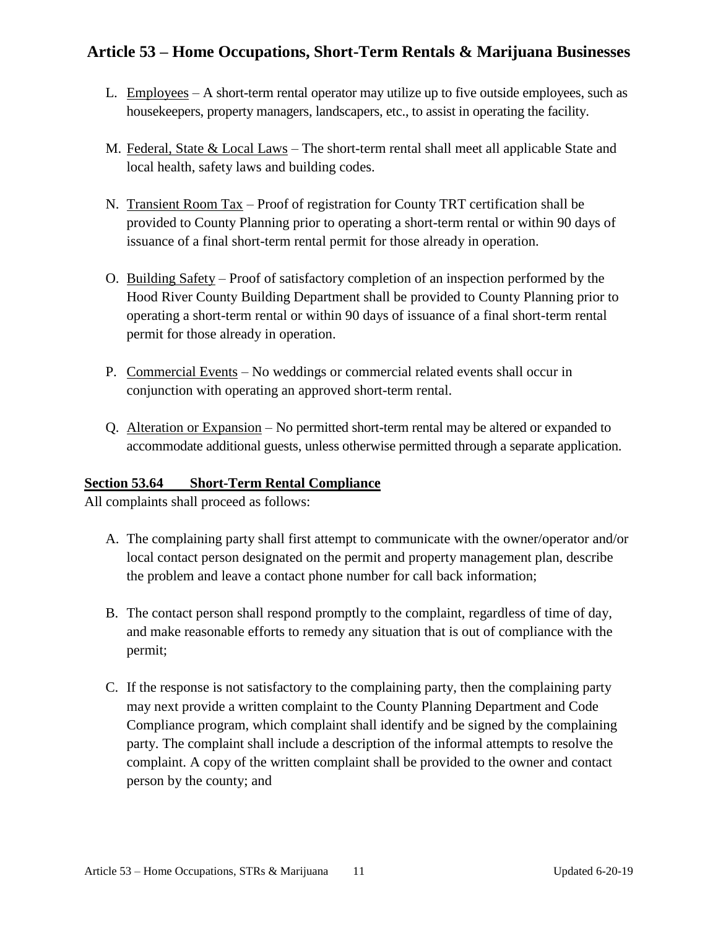- L. Employees A short-term rental operator may utilize up to five outside employees, such as housekeepers, property managers, landscapers, etc., to assist in operating the facility.
- M. Federal, State & Local Laws The short-term rental shall meet all applicable State and local health, safety laws and building codes.
- N. Transient Room Tax Proof of registration for County TRT certification shall be provided to County Planning prior to operating a short-term rental or within 90 days of issuance of a final short-term rental permit for those already in operation.
- O. Building Safety Proof of satisfactory completion of an inspection performed by the Hood River County Building Department shall be provided to County Planning prior to operating a short-term rental or within 90 days of issuance of a final short-term rental permit for those already in operation.
- P. Commercial Events No weddings or commercial related events shall occur in conjunction with operating an approved short-term rental.
- Q. Alteration or Expansion No permitted short-term rental may be altered or expanded to accommodate additional guests, unless otherwise permitted through a separate application.

### **Section 53.64 Short-Term Rental Compliance**

All complaints shall proceed as follows:

- A. The complaining party shall first attempt to communicate with the owner/operator and/or local contact person designated on the permit and property management plan, describe the problem and leave a contact phone number for call back information;
- B. The contact person shall respond promptly to the complaint, regardless of time of day, and make reasonable efforts to remedy any situation that is out of compliance with the permit;
- C. If the response is not satisfactory to the complaining party, then the complaining party may next provide a written complaint to the County Planning Department and Code Compliance program, which complaint shall identify and be signed by the complaining party. The complaint shall include a description of the informal attempts to resolve the complaint. A copy of the written complaint shall be provided to the owner and contact person by the county; and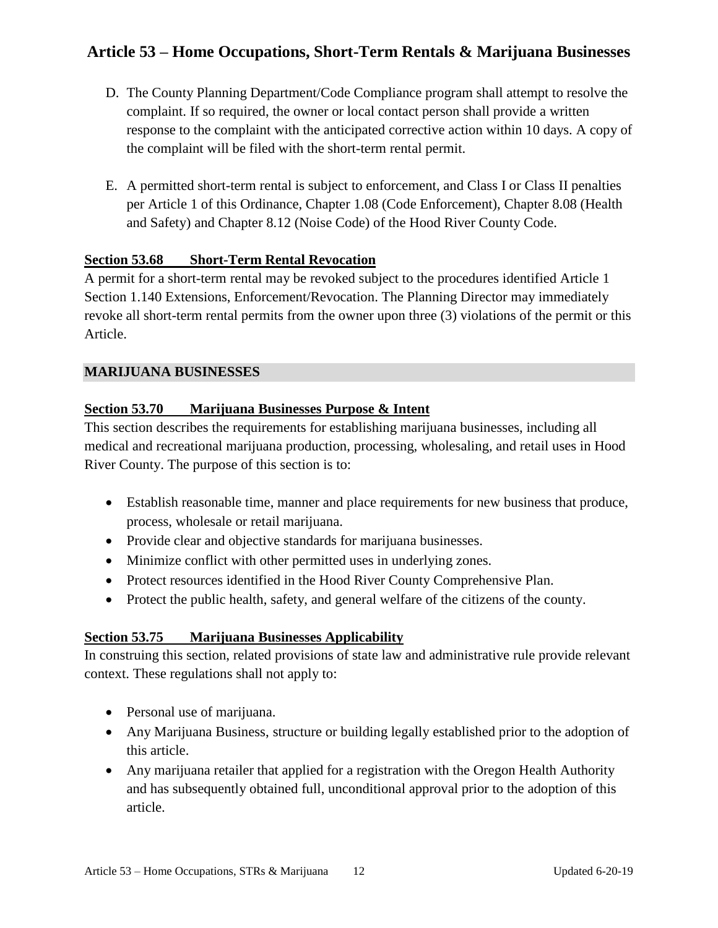- D. The County Planning Department/Code Compliance program shall attempt to resolve the complaint. If so required, the owner or local contact person shall provide a written response to the complaint with the anticipated corrective action within 10 days. A copy of the complaint will be filed with the short-term rental permit.
- E. A permitted short-term rental is subject to enforcement, and Class I or Class II penalties per Article 1 of this Ordinance, Chapter 1.08 (Code Enforcement), Chapter 8.08 (Health and Safety) and Chapter 8.12 (Noise Code) of the Hood River County Code.

#### **Section 53.68 Short-Term Rental Revocation**

A permit for a short-term rental may be revoked subject to the procedures identified Article 1 Section 1.140 Extensions, Enforcement/Revocation. The Planning Director may immediately revoke all short-term rental permits from the owner upon three (3) violations of the permit or this Article.

#### **MARIJUANA BUSINESSES**

### **Section 53.70 Marijuana Businesses Purpose & Intent**

This section describes the requirements for establishing marijuana businesses, including all medical and recreational marijuana production, processing, wholesaling, and retail uses in Hood River County. The purpose of this section is to:

- Establish reasonable time, manner and place requirements for new business that produce, process, wholesale or retail marijuana.
- Provide clear and objective standards for marijuana businesses.
- Minimize conflict with other permitted uses in underlying zones.
- Protect resources identified in the Hood River County Comprehensive Plan.
- Protect the public health, safety, and general welfare of the citizens of the county.

### **Section 53.75 Marijuana Businesses Applicability**

In construing this section, related provisions of state law and administrative rule provide relevant context. These regulations shall not apply to:

- Personal use of marijuana.
- Any Marijuana Business, structure or building legally established prior to the adoption of this article.
- Any marijuana retailer that applied for a registration with the Oregon Health Authority and has subsequently obtained full, unconditional approval prior to the adoption of this article.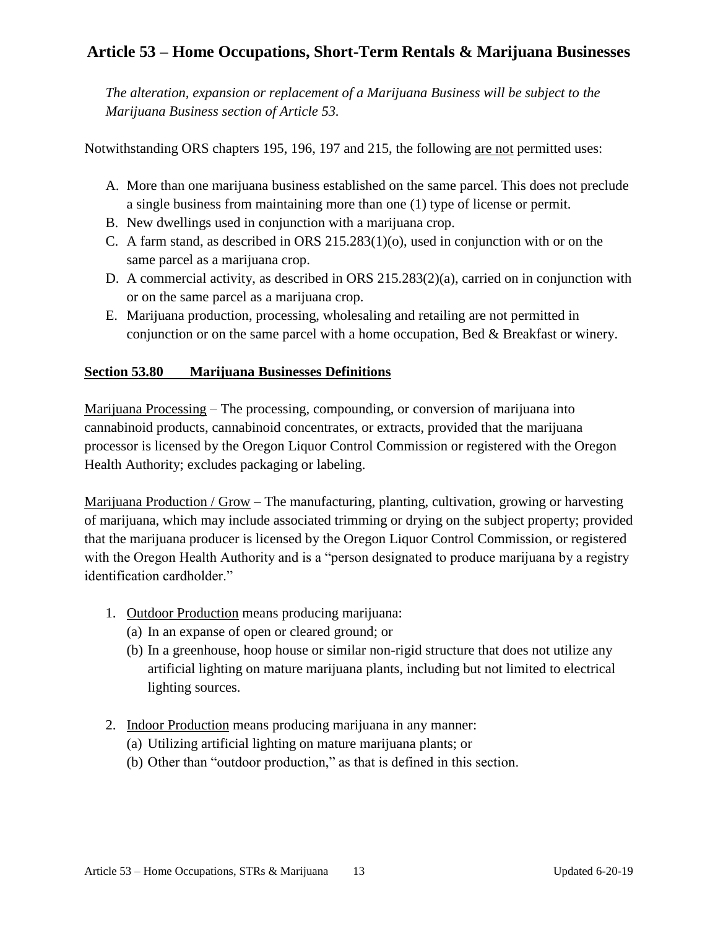*The alteration, expansion or replacement of a Marijuana Business will be subject to the Marijuana Business section of Article 53.*

Notwithstanding ORS chapters 195, 196, 197 and 215, the following are not permitted uses:

- A. More than one marijuana business established on the same parcel. This does not preclude a single business from maintaining more than one (1) type of license or permit.
- B. New dwellings used in conjunction with a marijuana crop.
- C. A farm stand, as described in ORS 215.283(1)(o), used in conjunction with or on the same parcel as a marijuana crop.
- D. A commercial activity, as described in ORS 215.283(2)(a), carried on in conjunction with or on the same parcel as a marijuana crop.
- E. Marijuana production, processing, wholesaling and retailing are not permitted in conjunction or on the same parcel with a home occupation, Bed & Breakfast or winery.

### **Section 53.80 Marijuana Businesses Definitions**

Marijuana Processing – The processing, compounding, or conversion of marijuana into cannabinoid products, cannabinoid concentrates, or extracts, provided that the marijuana processor is licensed by the Oregon Liquor Control Commission or registered with the Oregon Health Authority; excludes packaging or labeling.

Marijuana Production / Grow – The manufacturing, planting, cultivation, growing or harvesting of marijuana, which may include associated trimming or drying on the subject property; provided that the marijuana producer is licensed by the Oregon Liquor Control Commission, or registered with the Oregon Health Authority and is a "person designated to produce marijuana by a registry identification cardholder."

- 1. Outdoor Production means producing marijuana:
	- (a) In an expanse of open or cleared ground; or
	- (b) In a greenhouse, hoop house or similar non-rigid structure that does not utilize any artificial lighting on mature marijuana plants, including but not limited to electrical lighting sources.
- 2. Indoor Production means producing marijuana in any manner:
	- (a) Utilizing artificial lighting on mature marijuana plants; or
	- (b) Other than "outdoor production," as that is defined in this section.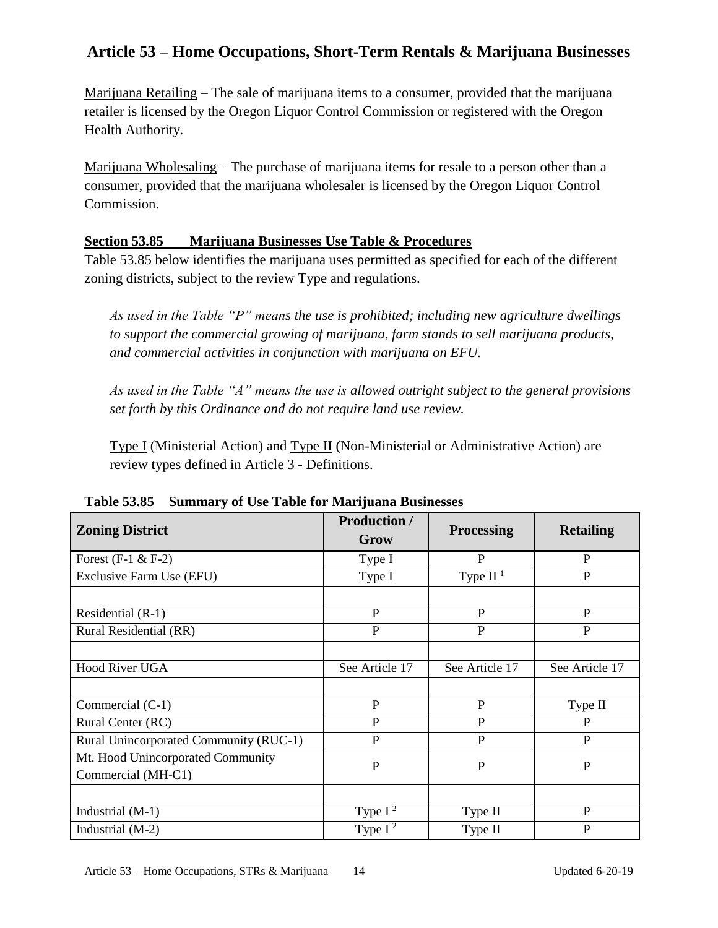Marijuana Retailing – The sale of marijuana items to a consumer, provided that the marijuana retailer is licensed by the Oregon Liquor Control Commission or registered with the Oregon Health Authority.

Marijuana Wholesaling – The purchase of marijuana items for resale to a person other than a consumer, provided that the marijuana wholesaler is licensed by the Oregon Liquor Control Commission.

### **Section 53.85 Marijuana Businesses Use Table & Procedures**

Table 53.85 below identifies the marijuana uses permitted as specified for each of the different zoning districts, subject to the review Type and regulations.

*As used in the Table "P" means the use is prohibited; including new agriculture dwellings to support the commercial growing of marijuana, farm stands to sell marijuana products, and commercial activities in conjunction with marijuana on EFU.*

*As used in the Table "A" means the use is allowed outright subject to the general provisions set forth by this Ordinance and do not require land use review.*

Type I (Ministerial Action) and Type II (Non-Ministerial or Administrative Action) are review types defined in Article 3 - Definitions.

| <b>Zoning District</b>                 | <b>Production</b> /<br>Grow | <b>Processing</b> | <b>Retailing</b> |  |
|----------------------------------------|-----------------------------|-------------------|------------------|--|
| Forest $(F-1 \& F-2)$                  | Type I                      | $\mathbf{P}$      | $\mathbf{P}$     |  |
| Exclusive Farm Use (EFU)               | Type I                      | Type $II1$        | $\mathbf{P}$     |  |
|                                        |                             |                   |                  |  |
| Residential (R-1)                      | P                           | P                 | P                |  |
| Rural Residential (RR)                 | $\mathbf{P}$                | P                 | $\mathbf{P}$     |  |
|                                        |                             |                   |                  |  |
| Hood River UGA                         | See Article 17              | See Article 17    | See Article 17   |  |
|                                        |                             |                   |                  |  |
| Commercial (C-1)                       | $\mathbf{P}$                | P                 | Type II          |  |
| Rural Center (RC)                      | $\mathbf{P}$                | $\mathbf{P}$      | P                |  |
| Rural Unincorporated Community (RUC-1) | $\mathbf{P}$                | $\mathbf{P}$      | P                |  |
| Mt. Hood Unincorporated Community      | $\mathbf P$                 | $\mathbf{P}$      | $\mathbf{P}$     |  |
| Commercial (MH-C1)                     |                             |                   |                  |  |
|                                        |                             |                   |                  |  |
| Industrial (M-1)                       | Type $I^2$                  | Type II           | $\mathbf{P}$     |  |
| Industrial (M-2)                       | Type $I^2$                  | Type II           | $\mathbf{P}$     |  |

**Table 53.85 Summary of Use Table for Marijuana Businesses**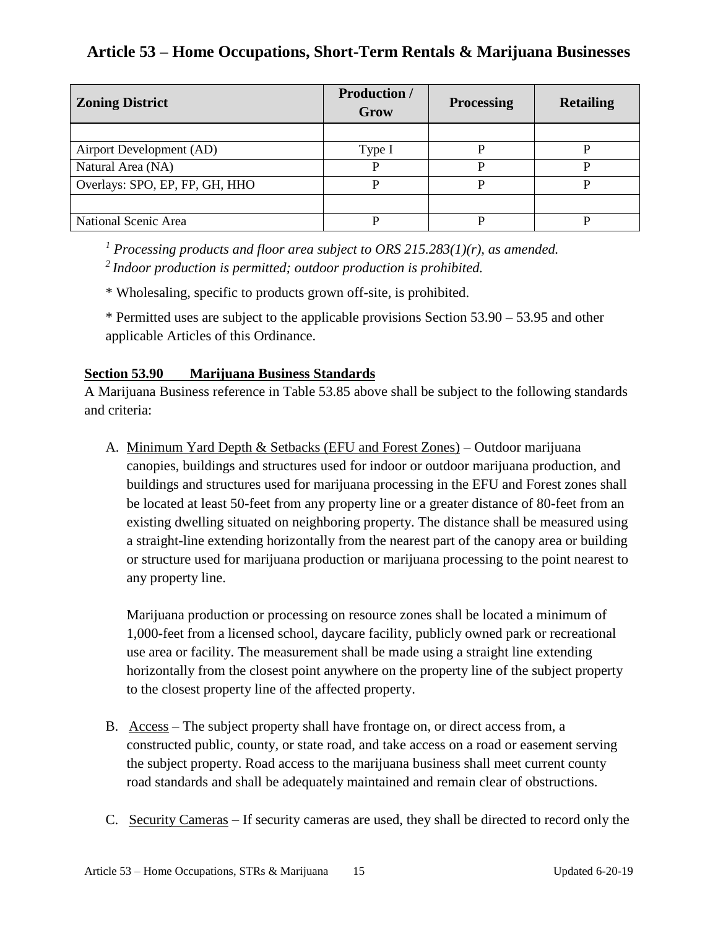| <b>Zoning District</b>         | <b>Production /</b><br>Grow | <b>Processing</b> | <b>Retailing</b> |
|--------------------------------|-----------------------------|-------------------|------------------|
|                                |                             |                   |                  |
| Airport Development (AD)       | Type I                      | D                 |                  |
| Natural Area (NA)              |                             |                   |                  |
| Overlays: SPO, EP, FP, GH, HHO | D                           |                   |                  |
|                                |                             |                   |                  |
| National Scenic Area           |                             |                   |                  |

*<sup>1</sup> Processing products and floor area subject to ORS 215.283(1)(r), as amended.*

*<sup>2</sup>Indoor production is permitted; outdoor production is prohibited.*

\* Wholesaling, specific to products grown off-site, is prohibited.

\* Permitted uses are subject to the applicable provisions Section 53.90 – 53.95 and other applicable Articles of this Ordinance.

### **Section 53.90 Marijuana Business Standards**

A Marijuana Business reference in Table 53.85 above shall be subject to the following standards and criteria:

A. Minimum Yard Depth & Setbacks (EFU and Forest Zones) – Outdoor marijuana canopies, buildings and structures used for indoor or outdoor marijuana production, and buildings and structures used for marijuana processing in the EFU and Forest zones shall be located at least 50-feet from any property line or a greater distance of 80**-**feet from an existing dwelling situated on neighboring property. The distance shall be measured using a straight-line extending horizontally from the nearest part of the canopy area or building or structure used for marijuana production or marijuana processing to the point nearest to any property line.

Marijuana production or processing on resource zones shall be located a minimum of 1,000**-**feet from a licensed school, daycare facility, publicly owned park or recreational use area or facility. The measurement shall be made using a straight line extending horizontally from the closest point anywhere on the property line of the subject property to the closest property line of the affected property.

- B. Access The subject property shall have frontage on, or direct access from, a constructed public, county, or state road, and take access on a road or easement serving the subject property. Road access to the marijuana business shall meet current county road standards and shall be adequately maintained and remain clear of obstructions.
- C. Security Cameras If security cameras are used, they shall be directed to record only the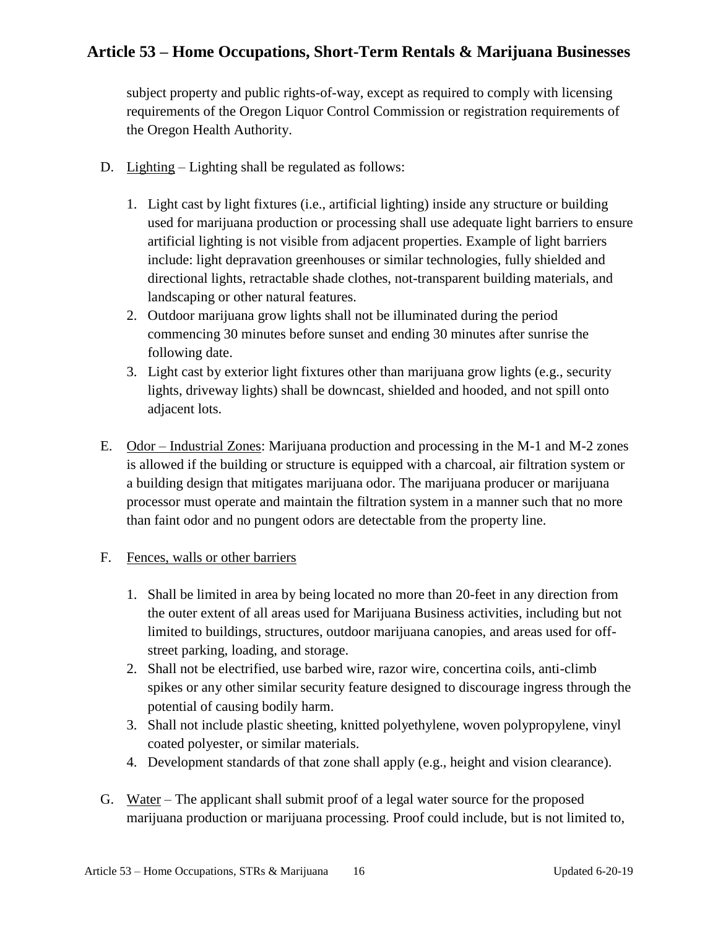subject property and public rights-of-way, except as required to comply with licensing requirements of the Oregon Liquor Control Commission or registration requirements of the Oregon Health Authority.

- D. Lighting Lighting shall be regulated as follows:
	- 1. Light cast by light fixtures (i.e., artificial lighting) inside any structure or building used for marijuana production or processing shall use adequate light barriers to ensure artificial lighting is not visible from adjacent properties. Example of light barriers include: light depravation greenhouses or similar technologies, fully shielded and directional lights, retractable shade clothes, not-transparent building materials, and landscaping or other natural features.
	- 2. Outdoor marijuana grow lights shall not be illuminated during the period commencing 30 minutes before sunset and ending 30 minutes after sunrise the following date.
	- 3. Light cast by exterior light fixtures other than marijuana grow lights (e.g., security lights, driveway lights) shall be downcast, shielded and hooded, and not spill onto adjacent lots.
- E. Odor Industrial Zones: Marijuana production and processing in the M-1 and M-2 zones is allowed if the building or structure is equipped with a charcoal, air filtration system or a building design that mitigates marijuana odor. The marijuana producer or marijuana processor must operate and maintain the filtration system in a manner such that no more than faint odor and no pungent odors are detectable from the property line.

#### F. Fences, walls or other barriers

- 1. Shall be limited in area by being located no more than 20-feet in any direction from the outer extent of all areas used for Marijuana Business activities, including but not limited to buildings, structures, outdoor marijuana canopies, and areas used for offstreet parking, loading, and storage.
- 2. Shall not be electrified, use barbed wire, razor wire, concertina coils, anti-climb spikes or any other similar security feature designed to discourage ingress through the potential of causing bodily harm.
- 3. Shall not include plastic sheeting, knitted polyethylene, woven polypropylene, vinyl coated polyester, or similar materials.
- 4. Development standards of that zone shall apply (e.g., height and vision clearance).
- G. Water The applicant shall submit proof of a legal water source for the proposed marijuana production or marijuana processing. Proof could include, but is not limited to,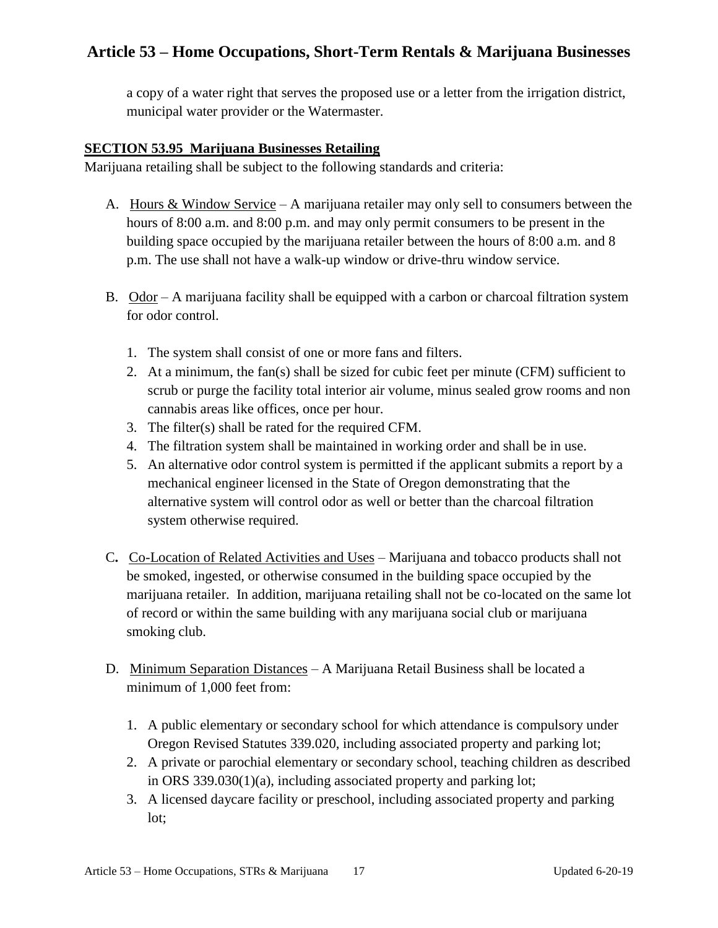a copy of a water right that serves the proposed use or a letter from the irrigation district, municipal water provider or the Watermaster.

#### **SECTION 53.95 Marijuana Businesses Retailing**

Marijuana retailing shall be subject to the following standards and criteria:

- A. Hours & Window Service A marijuana retailer may only sell to consumers between the hours of 8:00 a.m. and 8:00 p.m. and may only permit consumers to be present in the building space occupied by the marijuana retailer between the hours of 8:00 a.m. and 8 p.m. The use shall not have a walk-up window or drive-thru window service.
- B. Odor A marijuana facility shall be equipped with a carbon or charcoal filtration system for odor control.
	- 1. The system shall consist of one or more fans and filters.
	- 2. At a minimum, the fan(s) shall be sized for cubic feet per minute (CFM) sufficient to scrub or purge the facility total interior air volume, minus sealed grow rooms and non cannabis areas like offices, once per hour.
	- 3. The filter(s) shall be rated for the required CFM.
	- 4. The filtration system shall be maintained in working order and shall be in use.
	- 5. An alternative odor control system is permitted if the applicant submits a report by a mechanical engineer licensed in the State of Oregon demonstrating that the alternative system will control odor as well or better than the charcoal filtration system otherwise required.
- C**.** Co-Location of Related Activities and Uses Marijuana and tobacco products shall not be smoked, ingested, or otherwise consumed in the building space occupied by the marijuana retailer. In addition, marijuana retailing shall not be co-located on the same lot of record or within the same building with any marijuana social club or marijuana smoking club.
- D. Minimum Separation Distances A Marijuana Retail Business shall be located a minimum of 1,000 feet from:
	- 1. A public elementary or secondary school for which attendance is compulsory under Oregon Revised Statutes 339.020, including associated property and parking lot;
	- 2. A private or parochial elementary or secondary school, teaching children as described in ORS 339.030(1)(a), including associated property and parking lot;
	- 3. A licensed daycare facility or preschool, including associated property and parking lot;